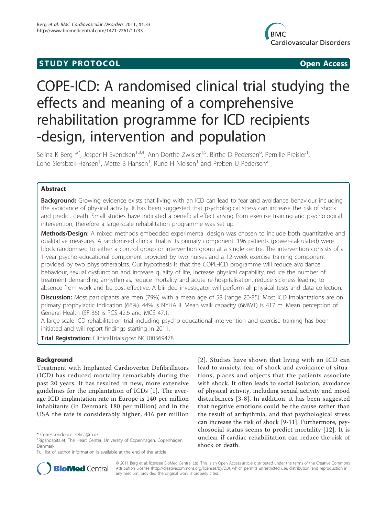# **STUDY PROTOCOL** CONTROL CONTROL CONTROL CONTROL CONTROL CONTROL CONTROL CONTROL CONTROL CONTROL CONTROL CONTROL CONTROL CONTROL CONTROL CONTROL CONTROL CONTROL CONTROL CONTROL CONTROL CONTROL CONTROL CONTROL CONTROL CONTR



# COPE-ICD: A randomised clinical trial studying the effects and meaning of a comprehensive rehabilitation programme for ICD recipients -design, intervention and population

Selina K Berg<sup>1,2\*</sup>, Jesper H Svendsen<sup>1,3,4</sup>, Ann-Dorthe Zwisler<sup>1,5</sup>, Birthe D Pedersen<sup>6</sup>, Pernille Preisler<sup>1</sup> , Lone Siersbæk-Hansen<sup>1</sup>, Mette B Hansen<sup>1</sup>, Rune H Nielsen<sup>1</sup> and Preben U Pedersen<sup>2</sup>

# Abstract

**Background:** Growing evidence exists that living with an ICD can lead to fear and avoidance behaviour including the avoidance of physical activity. It has been suggested that psychological stress can increase the risk of shock and predict death. Small studies have indicated a beneficial effect arising from exercise training and psychological intervention, therefore a large-scale rehabilitation programme was set up.

Methods/Design: A mixed methods embedded experimental design was chosen to include both quantitative and qualitative measures. A randomised clinical trial is its primary component. 196 patients (power-calculated) were block randomised to either a control group or intervention group at a single centre. The intervention consists of a 1-year psycho-educational component provided by two nurses and a 12-week exercise training component provided by two physiotherapists. Our hypothesis is that the COPE-ICD programme will reduce avoidance behaviour, sexual dysfunction and increase quality of life, increase physical capability, reduce the number of treatment-demanding arrhythmias, reduce mortality and acute re-hospitalisation, reduce sickness leading to absence from work and be cost-effective. A blinded investigator will perform all physical tests and data collection.

**Discussion:** Most participants are men (79%) with a mean age of 58 (range 20-85). Most ICD implantations are on primary prophylactic indication (66%). 44% is NYHA II. Mean walk capacity (6MWT) is 417 m. Mean perception of General Health (SF-36) is PCS 42.6 and MCS 47.1.

A large-scale ICD rehabilitation trial including psycho-educational intervention and exercise training has been initiated and will report findings starting in 2011.

Trial Registration: ClinicalTrials.gov: [NCT00569478](http://www.clinicaltrials.gov/ct2/show/NCT00569478)

# Background

Treatment with Implanted Cardioverter Defibrillators (ICD) has reduced mortality remarkably during the past 20 years. It has resulted in new, more extensive guidelines for the implantation of ICDs [\[1\]](#page-8-0). The average ICD implantation rate in Europe is 140 per million inhabitants (in Denmark 180 per million) and in the USA the rate is considerably higher, 416 per million

[[2\]](#page-8-0). Studies have shown that living with an ICD can lead to anxiety, fear of shock and avoidance of situations, places and objects that the patients associate with shock. It often leads to social isolation, avoidance of physical activity, including sexual activity and mood disturbances [[3-8\]](#page-8-0). In addition, it has been suggested that negative emotions could be the cause rather than the result of arrhythmia, and that psychological stress can increase the risk of shock [[9-11](#page-8-0)]. Furthermore, psychosocial status seems to predict mortality [[12\]](#page-8-0). It is unclear if cardiac rehabilitation can reduce the risk of shock or death.



© 2011 Berg et al; licensee BioMed Central Ltd. This is an Open Access article distributed under the terms of the Creative Commons Attribution License [\(http://creativecommons.org/licenses/by/2.0](http://creativecommons.org/licenses/by/2.0)), which permits unrestricted use, distribution, and reproduction in any medium, provided the original work is properly cited.

<sup>\*</sup> Correspondence: [selina@rh.dk](mailto:selina@rh.dk)

<sup>&</sup>lt;sup>1</sup>Rigshospitalet, The Heart Center, University of Copenhagen, Copenhagen, Denmark

Full list of author information is available at the end of the article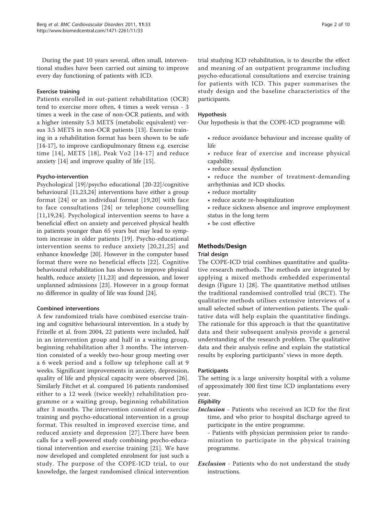During the past 10 years several, often small, interventional studies have been carried out aiming to improve every day functioning of patients with ICD.

#### Exercise training

Patients enrolled in out-patient rehabilitation (OCR) tend to exercise more often, 4 times a week versus - 3 times a week in the case of non-OCR patients, and with a higher intensity 5.3 METS (metabolic equivalent) versus 3.5 METS in non-OCR patients [[13\]](#page-8-0). Exercise training in a rehabilitation format has been shown to be safe [[14-17\]](#page-8-0), to improve cardiopulmonary fitness e.g. exercise time [[14](#page-8-0)], METS [[18\]](#page-8-0), Peak Vo2 [[14-17](#page-8-0)] and reduce anxiety [\[14\]](#page-8-0) and improve quality of life [[15\]](#page-8-0).

# Psycho-intervention

Psychological [\[19](#page-9-0)]/psycho educational [[20-22](#page-9-0)]/cognitive behavioural [[11,](#page-8-0)[23,24](#page-9-0)] interventions have either a group format [[24](#page-9-0)] or an individual format [[19,20\]](#page-9-0) with face to face consultations [[24](#page-9-0)] or telephone counselling [[11](#page-8-0),[19,24](#page-9-0)]. Psychological intervention seems to have a beneficial effect on anxiety and perceived physical health in patients younger than 65 years but may lead to symptom increase in older patients [[19\]](#page-9-0). Psycho-educational intervention seems to reduce anxiety [[20](#page-9-0),[21](#page-9-0),[25](#page-9-0)] and enhance knowledge [\[20\]](#page-9-0). However in the computer based format there were no beneficial effects [[22\]](#page-9-0). Cognitive behavioural rehabilitation has shown to improve physical health, reduce anxiety [[11,](#page-8-0)[23\]](#page-9-0) and depression, and lower unplanned admissions [\[23](#page-9-0)]. However in a group format no difference in quality of life was found [\[24\]](#page-9-0).

# Combined interventions

A few randomized trials have combined exercise training and cognitive behavioural intervention. In a study by Frizelle et al. from 2004, 22 patients were included, half in an intervention group and half in a waiting group, beginning rehabilitation after 3 months. The intervention consisted of a weekly two-hour group meeting over a 6 week period and a follow up telephone call at 9 weeks. Significant improvements in anxiety, depression, quality of life and physical capacity were observed [[26](#page-9-0)]. Similarly Fitchet et al. compared 16 patients randomised either to a 12 week (twice weekly) rehabilitation programme or a waiting group, beginning rehabilitation after 3 months. The intervention consisted of exercise training and psycho-educational intervention in a group format. This resulted in improved exercise time, and reduced anxiety and depression [[27](#page-9-0)].There have been calls for a well-powered study combining psycho-educational intervention and exercise training [\[21\]](#page-9-0). We have now developed and completed enrolment for just such a study. The purpose of the COPE-ICD trial, to our knowledge, the largest randomised clinical intervention

trial studying ICD rehabilitation, is to describe the effect and meaning of an outpatient programme including psycho-educational consultations and exercise training for patients with ICD. This paper summarises the study design and the baseline characteristics of the participants.

#### Hypothesis

Our hypothesis is that the COPE-ICD programme will:

- reduce avoidance behaviour and increase quality of life
- reduce fear of exercise and increase physical capability.
- reduce sexual dysfunction
- reduce the number of treatment-demanding arrhythmias and ICD shocks.
- reduce mortality
- reduce acute re-hospitalization
- reduce sickness absence and improve employment
- status in the long term
- be cost effective

# Methods/Design

#### Trial design

The COPE-ICD trial combines quantitative and qualitative research methods. The methods are integrated by applying a mixed methods embedded experimental design (Figure [1\)](#page-2-0) [[28\]](#page-9-0). The quantitative method utilises the traditional randomised controlled trial (RCT). The qualitative methods utilises extensive interviews of a small selected subset of intervention patients. The qualitative data will help explain the quantitative findings. The rationale for this approach is that the quantitative data and their subsequent analysis provide a general understanding of the research problem. The qualitative data and their analysis refine and explain the statistical results by exploring participants' views in more depth.

# **Participants**

The setting is a large university hospital with a volume of approximately 300 first time ICD implantations every year.

# **Eligibility**

Inclusion - Patients who received an ICD for the first time, and who prior to hospital discharge agreed to participate in the entire programme.

- Patients with physician permission prior to randomization to participate in the physical training programme.

**Exclusion** - Patients who do not understand the study instructions.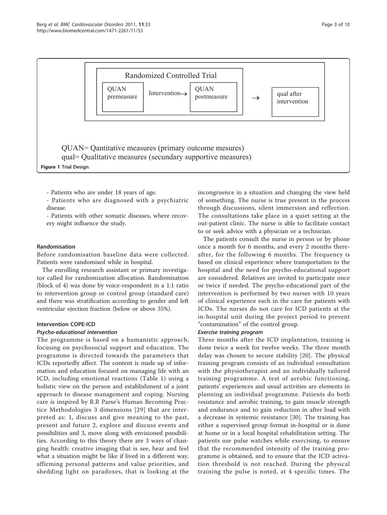<span id="page-2-0"></span>

- Patients who are under 18 years of age.

- Patients who are diagnosed with a psychiatric disease.

- Patients with other somatic diseases, where recovery might influence the study.

#### Randomisation

Before randomisation baseline data were collected. Patients were randomised while in hospital.

The enrolling research assistant or primary investigator called for randomization allocation. Randomisation (block of 4) was done by voice-respondent in a 1:1 ratio to intervention group or control group (standard care) and there was stratification according to gender and left ventricular ejection fraction (below or above 35%).

#### Intervention COPE-ICD

#### Psycho-educational intervention

The programme is based on a humanistic approach, focusing on psychosocial support and education. The programme is directed towards the parameters that ICDs reportedly affect. The content is made up of information and education focused on managing life with an ICD, including emotional reactions (Table [1](#page-3-0)) using a holistic view on the person and establishment of a joint approach to disease management and coping. Nursing care is inspired by R.R Parse's Human Becoming Practice Methodologies 3 dimensions [[29\]](#page-9-0) that are interpreted as: 1, discuss and give meaning to the past, present and future 2, explore and discuss events and possibilities and 3, move along with envisioned possibilities. According to this theory there are 3 ways of changing health: creative imaging that is see, hear and feel what a situation might be like if lived in a different way, affirming personal patterns and value priorities, and shedding light on paradoxes, that is looking at the incongruence in a situation and changing the view held of something. The nurse is true present in the process through discussions, silent immersion and reflection. The consultations take place in a quiet setting at the out-patient clinic. The nurse is able to facilitate contact to or seek advice with a physician or a technician.

The patients consult the nurse in person or by phone once a month for 6 months, and every 2 months thereafter, for the following 6 months. The frequency is based on clinical experience where transportation to the hospital and the need for psycho-educational support are considered. Relatives are invited to participate once or twice if needed. The psycho-educational part of the intervention is performed by two nurses with 10 years of clinical experience each in the care for patients with ICDs. The nurses do not care for ICD patients at the in-hospital unit during the project period to prevent "contamination" of the control group.

#### Exercise training program

Three months after the ICD implantation, training is done twice a week for twelve weeks. The three month delay was chosen to secure stability [[20](#page-9-0)]. The physical training program consists of an individual consultation with the physiotherapist and an individually tailored training programme. A test of aerobic functioning, patients' experiences and usual activities are elements in planning an individual programme. Patients do both resistance and aerobic training, to gain muscle strength and endurance and to gain reduction in after load with a decrease in systemic resistance [[30\]](#page-9-0). The training has either a supervised group format in-hospital or is done at home or in a local hospital rehabilitation setting. The patients use pulse watches while exercising, to ensure that the recommended intensity of the training programme is obtained, and to ensure that the ICD activation threshold is not reached. During the physical training the pulse is noted, at 4 specific times. The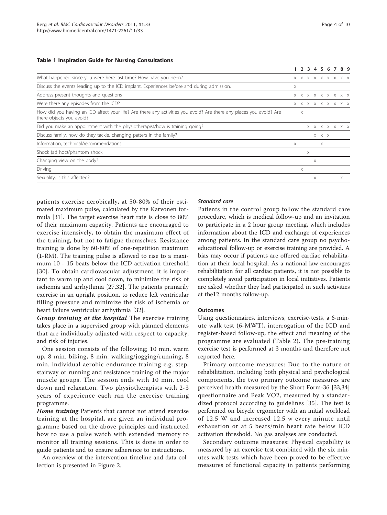#### <span id="page-3-0"></span>Table 1 Inspiration Guide for Nursing Consultations

|                                                                                                                                                 |   |   |   |          | 2 3 4 5 6                   |  |               |
|-------------------------------------------------------------------------------------------------------------------------------------------------|---|---|---|----------|-----------------------------|--|---------------|
| What happened since you were here last time? How have you been?                                                                                 |   |   |   |          | $X$ $X$ $X$ $X$ $X$ $X$     |  |               |
| Discuss the events leading up to the ICD implant. Experiences before and during admission.                                                      | X |   |   |          |                             |  |               |
| Address present thoughts and questions                                                                                                          |   |   |   |          | X X X X X X X               |  |               |
| Were there any episodes from the ICD?                                                                                                           |   |   |   |          | $X$ $X$ $X$ $X$ $X$ $X$ $X$ |  |               |
| How did you having an ICD affect your life? Are there any activities you avoid? Are there any places you avoid? Are<br>there objects you avoid? |   | X |   |          |                             |  |               |
| Did you make an appointment with the physiotherapist/how is training going?                                                                     |   |   |   |          |                             |  | X X X X X X X |
| Discuss family, how do they tackle, changing patters in the family?                                                                             |   |   |   |          | $X$ $X$ $X$                 |  |               |
| Information, technical/recommendations.                                                                                                         | X |   |   |          | X                           |  |               |
| Shock (ad hoc)/phantom shock                                                                                                                    |   |   | X |          |                             |  |               |
| Changing view on the body?                                                                                                                      |   |   |   | $\times$ |                             |  |               |
| Driving                                                                                                                                         |   | X |   |          |                             |  |               |
| Sexuality, is this affected?                                                                                                                    |   |   |   | $\times$ |                             |  | X             |

patients exercise aerobically, at 50-80% of their estimated maximum pulse, calculated by the Karvonen formula [[31\]](#page-9-0). The target exercise heart rate is close to 80% of their maximum capacity. Patients are encouraged to exercise intensively, to obtain the maximum effect of the training, but not to fatigue themselves. Resistance training is done by 60-80% of one-repetition maximum (1-RM). The training pulse is allowed to rise to a maximum 10 - 15 beats below the ICD activation threshold [[30](#page-9-0)]. To obtain cardiovascular adjustment, it is important to warm up and cool down, to minimize the risk of ischemia and arrhythmia [[27,32\]](#page-9-0). The patients primarily exercise in an upright position, to reduce left ventricular filling pressure and minimize the risk of ischemia or heart failure ventricular arrhythmia [[32\]](#page-9-0).

Group training at the hospital The exercise training takes place in a supervised group with planned elements that are individually adjusted with respect to capacity, and risk of injuries.

One session consists of the following; 10 min. warm up, 8 min. biking, 8 min. walking/jogging/running, 8 min. individual aerobic endurance training e.g. step, stairway or running and resistance training of the major muscle groups. The session ends with 10 min. cool down and relaxation. Two physiotherapists with 2-3 years of experience each ran the exercise training programme.

Home training Patients that cannot not attend exercise training at the hospital, are given an individual programme based on the above principles and instructed how to use a pulse watch with extended memory to monitor all training sessions. This is done in order to guide patients and to ensure adherence to instructions.

An overview of the intervention timeline and data collection is presented in Figure [2.](#page-4-0)

# Standard care

Patients in the control group follow the standard care procedure, which is medical follow-up and an invitation to participate in a 2 hour group meeting, which includes information about the ICD and exchange of experiences among patients. In the standard care group no psychoeducational follow-up or exercise training are provided. A bias may occur if patients are offered cardiac rehabilitation at their local hospital. As a national law encourages rehabilitation for all cardiac patients, it is not possible to completely avoid participation in local initiatives. Patients are asked whether they had participated in such activities at the12 months follow-up.

# **Outcomes**

Using questionnaires, interviews, exercise-tests, a 6-minute walk test (6-MWT), interrogation of the ICD and register-based follow-up, the effect and meaning of the programme are evaluated (Table [2](#page-4-0)). The pre-training exercise test is performed at 3 months and therefore not reported here.

Primary outcome measures: Due to the nature of rehabilitation, including both physical and psychological components, the two primary outcome measures are perceived health measured by the Short Form-36 [[33,34](#page-9-0)] questionnaire and Peak VO2, measured by a standardized protocol according to guidelines [[35\]](#page-9-0). The test is performed on bicycle ergometer with an initial workload of 12.5 W and increased 12.5 w every minute until exhaustion or at 5 beats/min heart rate below ICD activation threshold. No gas analyses are conducted.

Secondary outcome measures: Physical capability is measured by an exercise test combined with the six minutes walk tests which have been proved to be effective measures of functional capacity in patients performing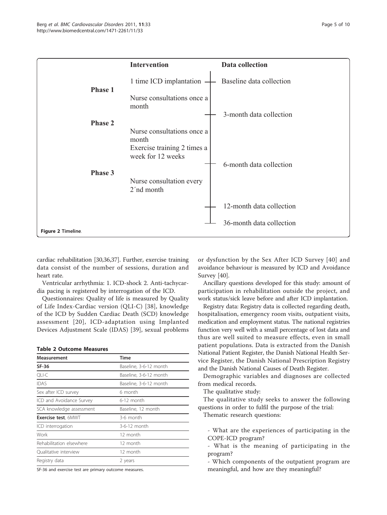<span id="page-4-0"></span>

cardiac rehabilitation [[30,36,37\]](#page-9-0). Further, exercise training data consist of the number of sessions, duration and heart rate.

Ventricular arrhythmia: 1. ICD-shock 2. Anti-tachycardia pacing is registered by interrogation of the ICD.

Questionnaires: Quality of life is measured by Quality of Life Index-Cardiac version (QLI-C) [\[38\]](#page-9-0), knowledge of the ICD by Sudden Cardiac Death (SCD) knowledge assessment [[20\]](#page-9-0), ICD-adaptation using Implanted Devices Adjustment Scale (IDAS) [\[39](#page-9-0)], sexual problems

#### Table 2 Outcome Measures

| <b>Measurement</b>         | <b>Time</b>            |  |
|----------------------------|------------------------|--|
| SF-36                      | Baseline, 3-6-12 month |  |
| OLI-C                      | Baseline, 3-6-12 month |  |
| <b>IDAS</b>                | Baseline, 3-6-12 month |  |
| Sex after ICD survey       | 6 month                |  |
| ICD and Avoidance Survey   | $6-12$ month           |  |
| SCA knowledge assessment   | Baseline, 12 month     |  |
| <b>Exercise test, 6MWT</b> | 3-6 month              |  |
| ICD interrogation          | 3-6-12 month           |  |
| Work                       | 12 month               |  |
| Rehabilitation elsewhere   | 12 month               |  |
| Oualitative interview      | 12 month               |  |
| Registry data              | 2 years                |  |

SF-36 and exercise test are primary outcome measures.

or dysfunction by the Sex After ICD Survey [[40](#page-9-0)] and avoidance behaviour is measured by ICD and Avoidance Survey [\[40](#page-9-0)].

Ancillary questions developed for this study: amount of participation in rehabilitation outside the project, and work status/sick leave before and after ICD implantation.

Registry data: Registry data is collected regarding death, hospitalisation, emergency room visits, outpatient visits, medication and employment status. The national registries function very well with a small percentage of lost data and thus are well suited to measure effects, even in small patient populations. Data is extracted from the Danish National Patient Register, the Danish National Health Service Register, the Danish National Prescription Registry and the Danish National Causes of Death Register.

Demographic variables and diagnoses are collected from medical records.

The qualitative study:

The qualitative study seeks to answer the following questions in order to fulfil the purpose of the trial:

Thematic research questions:

- What are the experiences of participating in the COPE-ICD program?

- What is the meaning of participating in the program?

- Which components of the outpatient program are meaningful, and how are they meaningful?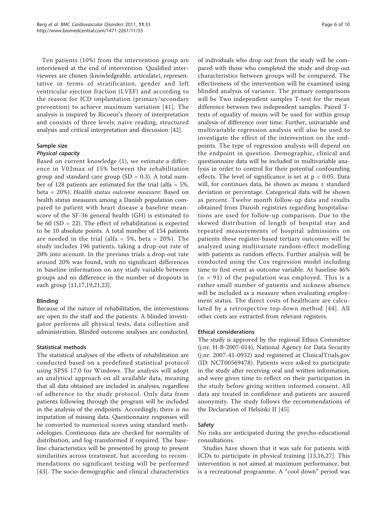Ten patients (10%) from the intervention group are interviewed at the end of intervention. Qualified interviewees are chosen (knowledgeable, articulate), representative in terms of stratification, gender and left ventricular ejection fraction (LVEF) and according to the reason for ICD implantation (primary/secondary prevention) to achieve maximum variation [\[41\]](#page-9-0). The analysis is inspired by Ricoeur's theory of interpretation and consists of three levels: naive reading, structured analysis and critical interpretation and discussion [[42](#page-9-0)].

#### Sample size

#### Physical capacity

Based on current knowledge (1), we estimate a difference in V02max of 15% between the rehabilitation group and standard care group  $(SD = 0.3)$ . A total number of 128 patients are estimated for the trial (alfa = 5%, beta = 20%). Health status outcome measure: Based on health status measures among a Danish population compared to patient with heart disease a baseline meanscore of the SF-36 general health (GH) is estimated to be 60 (SD = 22). The effect of rehabilitation is expected to be 10 absolute points. A total number of 154 patients are needed in the trial (alfa =  $5\%$ , beta =  $20\%$ ). The study includes 196 patients, taking a drop-out rate of 20% into account. In the previous trials a drop-out rate around 20% was found, with no significant differences in baseline information on any study variable between groups and no difference in the number of dropouts in each group [[11](#page-8-0),[17](#page-8-0)[,19,21,23\]](#page-9-0).

# Blinding

Because of the nature of rehabilitation, the interventions are open to the staff and the patients. A blinded investigator performs all physical tests, data collection and administration. Blinded outcome analyses are conducted.

#### Statistical methods

The statistical analyses of the effects of rehabilitation are conducted based on a predefined statistical protocol using SPSS 17.0 for Windows. The analysis will adopt an analytical approach on all available data, meaning that all data obtained are included in analyses, regardless of adherence to the study protocol. Only data from patients following through the program will be included in the analysis of the endpoints. Accordingly, there is no imputation of missing data. Questionnaire responses will be converted to numerical scores using standard methodologies. Continuous data are checked for normality of distribution, and log-transformed if required. The baseline characteristics will be presented by group to present similarities across treatment, but according to recommendations no significant testing will be performed [[43\]](#page-9-0). The socio-demographic and clinical characteristics

of individuals who drop out from the study will be compared with those who completed the study and drop-out characteristics between groups will be compared. The effectiveness of the intervention will be examined using blinded analysis of variance. The primary comparisons will be Two independent samples T-test for the mean difference between two independent samples. Paired Ttests of equality of means will be used for within group analysis of difference over time. Further, univariable and multivariable regression analysis will also be used to investigate the effect of the intervention on the endpoints. The type of regression analysis will depend on the endpoint in question. Demographic, clinical and questionnaire data will be included in multivariable analysis in order to control for their potential confounding effects. The level of significance is set at  $p < 0.05$ . Data will, for continues data, be shown as means ± standard deviation or percentage. Categorical data will be shown as percent. Twelve month follow-up data and results obtained from Danish registries regarding hospitalisations are used for follow-up comparison. Due to the skewed distribution of length of hospital stay and repeated measurements of hospital admissions on patients these register-based tertiary outcomes will be analyzed using multivariate random-effect modelling with patients as random effects. Further analysis will be conducted using the Cox regression model including time to first event as outcome variable. At baseline 46%  $(n = 91)$  of the population was employed. This is a rather small number of patients and sickness absence will be included as a measure when evaluating employment status. The direct costs of healthcare are calculated by a retrospective top-down method [[44\]](#page-9-0). All other costs are extracted from relevant registers.

#### Ethical considerations

The study is approved by the regional Ethics Committee (j.nr. H-B-2007-014), National Agency for Data Security (j.nr. 2007-41-0932) and registered at ClinicalTrials.gov (ID: NCT00569478). Patients were asked to participate in the study after receiving oral and written information, and were given time to reflect on their participation in the study before giving written informed consent. All data are treated in confidence and patients are assured anonymity. The study follows the recommendations of the Declaration of Helsinki II [[45\]](#page-9-0).

#### Safety

No risks are anticipated during the psycho-educational consultations.

Studies have shown that it was safe for patients with ICDs to participate in physical training [[13,16,](#page-8-0)[27](#page-9-0)]. This intervention is not aimed at maximum performance, but is a recreational programme. A "cool down" period was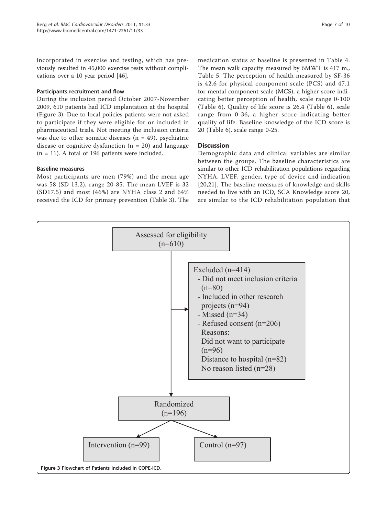incorporated in exercise and testing, which has previously resulted in 45,000 exercise tests without complications over a 10 year period [[46](#page-9-0)].

#### Participants recruitment and flow

During the inclusion period October 2007-November 2009, 610 patients had ICD implantation at the hospital (Figure 3). Due to local policies patients were not asked to participate if they were eligible for or included in pharmaceutical trials. Not meeting the inclusion criteria was due to other somatic diseases ( $n = 49$ ), psychiatric disease or cognitive dysfunction ( $n = 20$ ) and language  $(n = 11)$ . A total of 196 patients were included.

# Baseline measures

Most participants are men (79%) and the mean age was 58 (SD 13.2), range 20-85. The mean LVEF is 32 (SD17.5) and most (46%) are NYHA class 2 and 64% received the ICD for primary prevention (Table [3](#page-7-0)). The medication status at baseline is presented in Table [4](#page-7-0). The mean walk capacity measured by 6MWT is 417 m., Table [5.](#page-7-0) The perception of health measured by SF-36 is 42.6 for physical component scale (PCS) and 47.1 for mental component scale (MCS), a higher score indicating better perception of health, scale range 0-100 (Table [6](#page-7-0)). Quality of life score is 26.4 (Table [6\)](#page-7-0), scale range from 0-36, a higher score indicating better quality of life. Baseline knowledge of the ICD score is 20 (Table [6\)](#page-7-0), scale range 0-25.

#### **Discussion**

Demographic data and clinical variables are similar between the groups. The baseline characteristics are similar to other ICD rehabilitation populations regarding NYHA, LVEF, gender, type of device and indication [[20,21](#page-9-0)]. The baseline measures of knowledge and skills needed to live with an ICD, SCA Knowledge score 20, are similar to the ICD rehabilitation population that

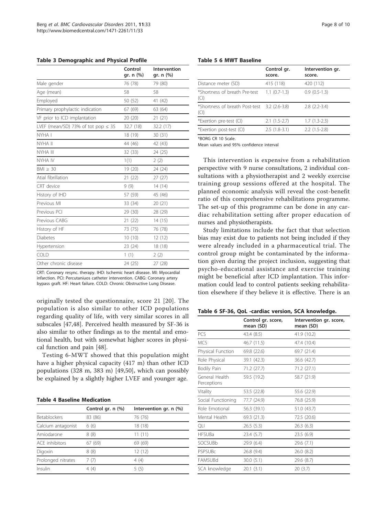<span id="page-7-0"></span>Table 3 Demographic and Physical Profile

|                                         | Control<br>gr. n (%) | Intervention<br>gr. n (%) |
|-----------------------------------------|----------------------|---------------------------|
| Male gender                             | 76 (78)              | 79 (80)                   |
| Age (mean)                              | 58                   | 58                        |
| Employed                                | 50 (52)              | 41 (42)                   |
| Primary prophylactic indication         | 67 (69)              | 63 (64)                   |
| VF prior to ICD implantation            | 20(20)               | 21(21)                    |
| LVEF (mean/SD) 73% of tot pop $\leq$ 35 | 32.7 (18)            | 32.2 (17)                 |
| NYHA I                                  | 18 (19)              | 30(31)                    |
| NYHA II                                 | 44 (46)              | 42 (43)                   |
| NYHA III                                | 32 (33)              | 24 (25)                   |
| NYHA IV                                 | 1(1)                 | 2(2)                      |
| $BMl \geq 30$                           | 19 (20)              | 24 (24)                   |
| Atial fibrillation                      | 21(22)               | 27(27)                    |
| CRT device                              | 9(9)                 | 14(14)                    |
| History of IHD                          | 57 (59)              | 45 (46)                   |
| Previous MI                             | 33 (34)              | 20 (21)                   |
| Previous PCI                            | 29 (30)              | 28 (29)                   |
| Previous CABG                           | 21 (22)              | 14 (15)                   |
| History of HF                           | 73 (75)              | 76 (78)                   |
| <b>Diabetes</b>                         | 10(10)               | 12 (12)                   |
| Hypertension                            | 23 (24)              | 18 (18)                   |
| COLD                                    | 1(1)                 | 2(2)                      |
| Other chronic disease                   | 24 (25)              | 27(28)                    |
|                                         |                      |                           |

CRT: Coronary resync. therapy. IHD: Ischemic heart disease. MI: Myocardial infarction. PCI: Percutaniuos catheter intervention. CABG: Coronary artery bypass graft. HF: Heart failure. COLD: Chronic Obstructive Lung Disease.

originally tested the questionnaire, score 21 [\[20\]](#page-9-0). The population is also similar to other ICD populations regarding quality of life, with very similar scores in all subscales [[47](#page-9-0),[48](#page-9-0)]. Perceived health measured by SF-36 is also similar to other findings as to the mental and emotional health, but with somewhat higher scores in physical function and pain [[48](#page-9-0)].

Testing 6-MWT showed that this population might have a higher physical capacity (417 m) than other ICD populations (328 m, 383 m) [[49](#page-9-0),[50\]](#page-9-0), which can possibly be explained by a slightly higher LVEF and younger age.

#### Table 4 Baseline Medication

|                     | Control gr. n (%) | Intervention gr. n (%) |
|---------------------|-------------------|------------------------|
| <b>Betablockers</b> | 83 (86)           | 76 (76)                |
| Calcium antagonist  | 6(6)              | 18 (18)                |
| Amiodarone          | 8(8)              | 11(11)                 |
| ACE inhibitors      | 67 (69)           | 69 (69)                |
| Digoxin             | 8(8)              | 12(12)                 |
| Prolonged nitrates  | 7 (7)             | 4(4)                   |
| Insulin             | 4 (4)             | 5 (5)                  |

|                                                      | Control gr.<br>score. | Intervention gr.<br>score. |
|------------------------------------------------------|-----------------------|----------------------------|
| Distance meter (SD)                                  | 415 (118)             | 420 (112)                  |
| *Shortness of breath Pre-test<br>(CI)                | $1.1(0.7-1.3)$        | $0.9(0.5-1.3)$             |
| *Shortness of breath Post-test 3.2 (2.6-3.8)<br>(CI) |                       | $2.8(2.2-3.4)$             |
| *Exertion pre-test (CI)                              | $2.1(1.5-2.7)$        | $1.7(1.3-2.3)$             |
| *Exertion post-test (CI)                             | $2.5(1.8-3.1)$        | $2.2(1.5-2.8)$             |
|                                                      |                       |                            |

\*BORG CR 10 Scale.

Mean values and 95% confidence interval

This intervention is expensive from a rehabilitation perspective with 9 nurse consultations, 2 individual consultations with a physiotherapist and 2 weekly exercise training group sessions offered at the hospital. The planned economic analysis will reveal the cost-benefit ratio of this comprehensive rehabilitations programme. The set-up of this programme can be done in any cardiac rehabilitation setting after proper education of nurses and physiotherapists.

Study limitations include the fact that that selection bias may exist due to patients not being included if they were already included in a pharmaceutical trial. The control group might be contaminated by the information given during the project inclusion, suggesting that psycho-educational assistance and exercise training might be beneficial after ICD implantation. This information could lead to control patients seeking rehabilitation elsewhere if they believe it is effective. There is an

Table 6 SF-36, QoL -cardiac version, SCA knowledge.

|                               | Control gr. score,<br>mean (SD) | Intervention gr. score,<br>mean (SD) |
|-------------------------------|---------------------------------|--------------------------------------|
| PCS                           | 43.4 (8.5)                      | 41.9 (10.2)                          |
| <b>MCS</b>                    | 46.7 (11.5)                     | 47.4 (10.4)                          |
| Physical Function             | 69.8 (22.6)                     | 69.7 (21.4)                          |
| Role Physical                 | 39.1 (42.3)                     | 36.6 (42.7)                          |
| <b>Bodily Pain</b>            | 71.2 (27.7)                     | 71.2 (27.1)                          |
| General Health<br>Perceptions | 59.5 (19.2)                     | 58.7 (21.9)                          |
| Vitality                      | 53.5 (22.8)                     | 55.6 (22.9)                          |
| Social Functioning            | 77.7 (24.9)                     | 76.8 (25.9)                          |
| Role Emotional                | 56.3 (39.1)                     | 51.0 (43.7)                          |
| Mental Health                 | 69.3 (21.3)                     | 72.5 (20.6)                          |
| QLI                           | 26.5(5.3)                       | 26.3 (6.3)                           |
| <b>HFSUBa</b>                 | 23.4 (5.7)                      | 23.5 (6.9)                           |
| SOCSUBb                       | 29.9 (6.4)                      | 29.6 (7.1)                           |
| PSPSUBc                       | 26.8 (9.4)                      | 26.0 (8.2)                           |
| FAMSUBd                       | 30.0(5.1)                       | 29.6 (8.7)                           |
| SCA knowledge                 | 20.1(3.1)                       | 20 (3.7)                             |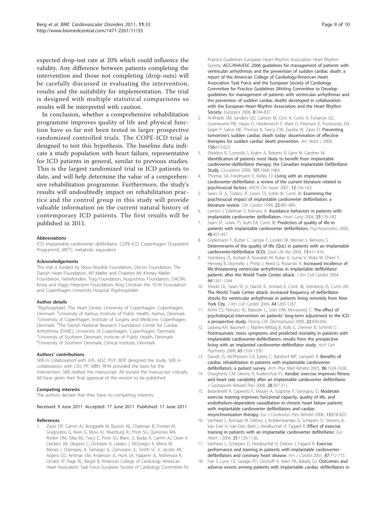<span id="page-8-0"></span>expected drop-out rate at 20% which could influence the validity. Any difference between patients completing the intervention and those not completing (drop-outs) will be carefully discussed in evaluating the intervention, results and the suitability for implementation. The trial is designed with multiple statistical comparisons so results will be interpreted with caution.

In conclusion, whether a comprehensive rehabilitation programme improves quality of life and physical function have so far not been tested in larger prospective randomized controlled trials. The COPE-ICD trial is designed to test this hypothesis. The baseline data indicate a study population with heart failure, representative for ICD patients in general, similar to previous studies. This is the largest randomized trial in ICD patients to date, and will help determine the value of a comprehensive rehabilitation programme. Furthermore, the study's results will undoubtedly impact on rehabilitation practice and the control group in this study will provide valuable information on the current natural history of contemporary ICD patients. The first results will be published in 2011.

#### Abbreviations

ICD: Implantable cardioverter defibrillator; COPE-ICD: Copenhagen Outpatient ProgrammE; METS: metabolic equivalent.

#### Acknowledgements

This trial is funded by Novo Nordisk Foundation, Oticon Foundation, The Danish Heart Foundation, AP Møller and Chastine Mc-Kinney Møller Foundation, Helsefonden, Tryg Foundation, Augustinus Foundation, DACRA, Krista and Viggo Petersens Foundation, King Christian the 10`th Foundation and Copenhagen University Hospital, Rigshospitalet.

#### Author details

<sup>1</sup>Rigshospitalet, The Heart Center, University of Copenhagen, Copenhagen, Denmark. <sup>2</sup>University of Aarhus, Institute of Public Health, Aarhus, Denmark.<br><sup>3</sup>University of Congression, Institute of Surgens and Medicine, Congression <sup>3</sup>University of Copenhagen, Institute of Surgery and Medicine, Copenhagen, Denmark. <sup>4</sup>The Danish National Research Foundation Center for Cardiac Arrhythmia (DARC), University of Copenhagen, Copenhagen, Denmark. 5 University of Southern Denmark, Institute of Public Health, Denmark. 6 University of Southern Denmark, Clinical Institute, Denmark.

#### Authors' contributions

SKB in collaboration with JHS, ADZ, PUP, BDP designed the study. SKB in collaboration with LSH, PP, MBH, RHN provided the basis for the intervention. SKB drafted the manuscript. All revised the manuscript critically. All have given their final approval of the version to be published.

#### Competing interests

The authors declare that they have no competing interests.

#### Received: 9 June 2011 Accepted: 17 June 2011 Published: 17 June 2011

#### References

1. Zipes DP, Camm AJ, Borggrefe M, Buxton AE, Chaitman B, Fromer M, Gregoratos G, Klein G, Moss AJ, Myerburg RJ, Priori SG, Quinones MA, Roden DM, Silka MJ, Tracy C, Priori SG, Blanc JJ, Budaj A, Camm AJ, Dean V, Deckers JW, Despres C, Dickstein K, Lekakis J, McGregor K, Metra M, Morais J, Osterspey A, Tamargo JL, Zamorano JL, Smith SC Jr, Jacobs AK, Adams CD, Antman EM, Anderson JL, Hunt SA, Halperin JL, Nishimura R, Ornato JP, Page RL, Riegel B, American College of Cardiology American Heart Association Task Force European Society of Cardiology Committee for Practice Guidelines European Heart Rhythm Association Heart Rhythm Society: [ACC/AHA/ESC 2006 guidelines for management of patients with](http://www.ncbi.nlm.nih.gov/pubmed/16935866?dopt=Abstract) [ventricular arrhythmias and the prevention of sudden cardiac death: a](http://www.ncbi.nlm.nih.gov/pubmed/16935866?dopt=Abstract) [report of the American College of Cardiology/American Heart](http://www.ncbi.nlm.nih.gov/pubmed/16935866?dopt=Abstract) [Association Task Force and the European Society of Cardiology](http://www.ncbi.nlm.nih.gov/pubmed/16935866?dopt=Abstract) [Committee for Practice Guidelines \(Writing Committee to Develop](http://www.ncbi.nlm.nih.gov/pubmed/16935866?dopt=Abstract) [guidelines for management of patients with ventricular arrhythmias and](http://www.ncbi.nlm.nih.gov/pubmed/16935866?dopt=Abstract) [the prevention of sudden cardiac death\) developed in collaboration](http://www.ncbi.nlm.nih.gov/pubmed/16935866?dopt=Abstract) [with the European Heart Rhythm Association and the Heart Rhythm](http://www.ncbi.nlm.nih.gov/pubmed/16935866?dopt=Abstract) [Society.](http://www.ncbi.nlm.nih.gov/pubmed/16935866?dopt=Abstract) *Europace* 2006, 8:746-837.

- 2. Al-Khatib SM, Sanders GD, Carlson M, Cicic A, Curtis A, Fonarow GC, Groeneveld PW, Hayes D, Heidenreich P, Mark D, Peterson E, Prystowsky EN, Sager P, Salive ME, Thomas K, Yancy CW, Zareba W, Zipes D: [Preventing](http://www.ncbi.nlm.nih.gov/pubmed/18926144?dopt=Abstract) tomorrow'[s sudden cardiac death today: dissemination of effective](http://www.ncbi.nlm.nih.gov/pubmed/18926144?dopt=Abstract) [therapies for sudden cardiac death prevention.](http://www.ncbi.nlm.nih.gov/pubmed/18926144?dopt=Abstract) Am Heart J 2008, 156:613-622.
- 3. Sheldon R, Connolly S, Krahn A, Roberts R, Gent M, Gardner M: [Identification of patients most likely to benefit from implantable](http://www.ncbi.nlm.nih.gov/pubmed/10758047?dopt=Abstract) [cardioverter-defibrillator therapy: the Canadian Implantable Defibrillator](http://www.ncbi.nlm.nih.gov/pubmed/10758047?dopt=Abstract) [Study.](http://www.ncbi.nlm.nih.gov/pubmed/10758047?dopt=Abstract) Circulation 2000, 101:1660-1664.
- 4. Thomas SA, Friedmann E, Kelley FJ: [Living with an implantable](http://www.ncbi.nlm.nih.gov/pubmed/11288324?dopt=Abstract) [cardioverter-defibrillator: a review of the current literature related to](http://www.ncbi.nlm.nih.gov/pubmed/11288324?dopt=Abstract) [psychosocial factors.](http://www.ncbi.nlm.nih.gov/pubmed/11288324?dopt=Abstract) AACN Clin Issues 2001, 12:156-163.
- 5. Sears SF Jr, Todaro JF, Lewis TS, Sotile W, Conti JB: [Examining the](http://www.ncbi.nlm.nih.gov/pubmed/10410293?dopt=Abstract) [psychosocial impact of implantable cardioverter defibrillators: a](http://www.ncbi.nlm.nih.gov/pubmed/10410293?dopt=Abstract) [literature review.](http://www.ncbi.nlm.nih.gov/pubmed/10410293?dopt=Abstract) Clin Cardiol 1999, 22:481-489.
- 6. Lemon J, Edelman S, Kirkness A: [Avoidance behaviors in patients with](http://www.ncbi.nlm.nih.gov/pubmed/15136777?dopt=Abstract) [implantable cardioverter defibrillators.](http://www.ncbi.nlm.nih.gov/pubmed/15136777?dopt=Abstract) Heart Lung 2004, 33:176-182.
- 7. Sears SF, Lewis TS, Kuhl EA, Conti JB: [Predictors of quality of life in](http://www.ncbi.nlm.nih.gov/pubmed/16145190?dopt=Abstract) [patients with implantable cardioverter defibrillators.](http://www.ncbi.nlm.nih.gov/pubmed/16145190?dopt=Abstract) Psychosomatics 2005, 46:451-457.
- 8. Godemann F, Butter C, Lampe F, Linden M, Werner S, Behrens S: [Determinants of the quality of life \(QoL\) in patients with an implantable](http://www.ncbi.nlm.nih.gov/pubmed/15085913?dopt=Abstract) [cardioverter/defibrillator \(ICD\).](http://www.ncbi.nlm.nih.gov/pubmed/15085913?dopt=Abstract) Qual Life Res 2004, 13:411-416.
- Steinberg JS, Arshad A, Kowalski M, Kukar A, Suma V, Vloka M, Ehlert F, Herweg B, Donnelly J, Philip J, Reed G, Rozanski A: [Increased incidence of](http://www.ncbi.nlm.nih.gov/pubmed/15364329?dopt=Abstract) [life-threatening ventricular arrhythmias in implantable defibrillator](http://www.ncbi.nlm.nih.gov/pubmed/15364329?dopt=Abstract) [patients after the World Trade Center attack.](http://www.ncbi.nlm.nih.gov/pubmed/15364329?dopt=Abstract) J Am Coll Cardiol 2004, 44:1261-1264.
- 10. Shedd OL, Sears SF Jr, Harvill JL, Arshad A, Conti JB, Steinberg JS, Curtis AB: [The World Trade Center attack: increased frequency of defibrillator](http://www.ncbi.nlm.nih.gov/pubmed/15364330?dopt=Abstract) [shocks for ventricular arrhythmias in patients living remotely from New](http://www.ncbi.nlm.nih.gov/pubmed/15364330?dopt=Abstract) [York City.](http://www.ncbi.nlm.nih.gov/pubmed/15364330?dopt=Abstract) J Am Coll Cardiol 2004, 44:1265-1267.
- 11. Kohn CS, Petrucci RJ, Baessler C, Soto DM, Movsowitz C: [The effect of](http://www.ncbi.nlm.nih.gov/pubmed/10793433?dopt=Abstract) [psychological intervention on patients](http://www.ncbi.nlm.nih.gov/pubmed/10793433?dopt=Abstract)' long-term adjustment to the ICD: [a prospective study.](http://www.ncbi.nlm.nih.gov/pubmed/10793433?dopt=Abstract) Pacing Clin Electrophysiol 2000, 23:450-456.
- 12. Ladwig KH, Baumert J, Marten-Mittag B, Kolb C, Zrenner B, Schmitt C: [Posttraumatic stress symptoms and predicted mortality in patients with](http://www.ncbi.nlm.nih.gov/pubmed/18981344?dopt=Abstract) [implantable cardioverter-defibrillators: results from the prospective](http://www.ncbi.nlm.nih.gov/pubmed/18981344?dopt=Abstract) [living with an implanted cardioverter-defibrillator study.](http://www.ncbi.nlm.nih.gov/pubmed/18981344?dopt=Abstract) Arch Gen Psychiatry 2008, 65:1324-1330.
- 13. Davids JS, McPherson CA, Earley C, Batsford WP, Lampert R: [Benefits of](http://www.ncbi.nlm.nih.gov/pubmed/16213232?dopt=Abstract) cardiac [rehabilitation in patients with implantable cardioverter](http://www.ncbi.nlm.nih.gov/pubmed/16213232?dopt=Abstract)[defibrillators: a patient survey.](http://www.ncbi.nlm.nih.gov/pubmed/16213232?dopt=Abstract) Arch Phys Med Rehabil 2005, 86:1924-1928.
- 14. Dougherty CM, Glenny R, Kudenchuk PJ: [Aerobic exercise improves fitness](http://www.ncbi.nlm.nih.gov/pubmed/18784539?dopt=Abstract) [and heart rate variability after an implantable cardioverter defibrillator.](http://www.ncbi.nlm.nih.gov/pubmed/18784539?dopt=Abstract) J Cardiopulm Rehabil Prev 2008, 28:307-311.
- 15. Belardinelli R, Capestro F, Misiani A, Scipione P, Georgiou D: [Moderate](http://www.ncbi.nlm.nih.gov/pubmed/17001224?dopt=Abstract) [exercise training improves functional capacity, quality of life, and](http://www.ncbi.nlm.nih.gov/pubmed/17001224?dopt=Abstract) [endothelium-dependent vasodilation in chronic heart failure patients](http://www.ncbi.nlm.nih.gov/pubmed/17001224?dopt=Abstract) [with implantable cardioverter defibrillators and cardiac](http://www.ncbi.nlm.nih.gov/pubmed/17001224?dopt=Abstract) [resynchronization therapy.](http://www.ncbi.nlm.nih.gov/pubmed/17001224?dopt=Abstract) Eur J Cardiovasc Prev Rehabil 2006, 13:818-825.
- 16. Vanhees L, Kornaat M, Defoor J, Aufdemkampe G, Schepers D, Stevens A, Van Exel H, Van Den Beld J, Heidbuchel H, Fagard R: [Effect of exercise](http://www.ncbi.nlm.nih.gov/pubmed/15231370?dopt=Abstract) [training in patients with an implantable cardioverter defibrillator.](http://www.ncbi.nlm.nih.gov/pubmed/15231370?dopt=Abstract) Eur Heart J 2004. 25:1120-1126.
- 17. Vanhees L, Schepers D, Heidbuchel H, Defoor J, Fagard R: [Exercise](http://www.ncbi.nlm.nih.gov/pubmed/11249888?dopt=Abstract) [performance and training in patients with implantable cardioverter](http://www.ncbi.nlm.nih.gov/pubmed/11249888?dopt=Abstract)[defibrillators and coronary heart disease.](http://www.ncbi.nlm.nih.gov/pubmed/11249888?dopt=Abstract) Am J Cardiol 2001, 87:712-715.
- 18. Fan S, Lyon CE, Savage PD, Ozonoff A, Ades PA, Balady GJ: [Outcomes and](http://www.ncbi.nlm.nih.gov/pubmed/19158586?dopt=Abstract) [adverse events among patients with implantable cardiac defibrillators in](http://www.ncbi.nlm.nih.gov/pubmed/19158586?dopt=Abstract)